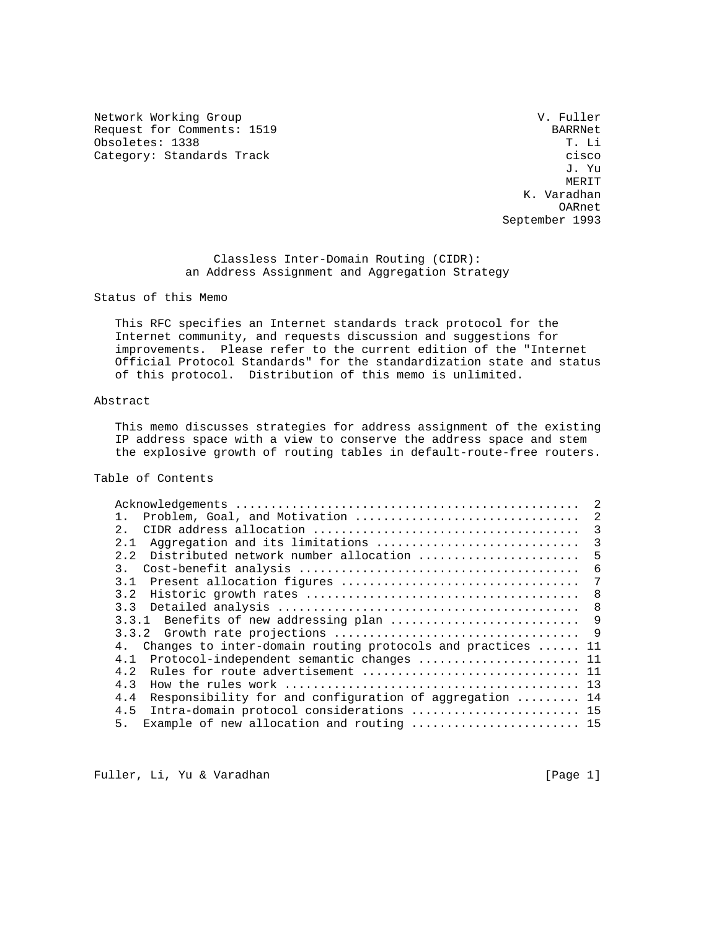Network Working Group and the Communication of the V. Fuller Request for Comments: 1519<br>
Obsoletes: 1338<br>
T. Li Obsoletes: 1338

Category: Standards Track cisco cisco cisco cisco cisco cisco cisco cisco cisco cisco cisco cisco cisco cisco J. Yu **MERIT**  K. Varadhan OARnet September 1993

> Classless Inter-Domain Routing (CIDR): an Address Assignment and Aggregation Strategy

Status of this Memo

 This RFC specifies an Internet standards track protocol for the Internet community, and requests discussion and suggestions for improvements. Please refer to the current edition of the "Internet Official Protocol Standards" for the standardization state and status of this protocol. Distribution of this memo is unlimited.

# Abstract

 This memo discusses strategies for address assignment of the existing IP address space with a view to conserve the address space and stem the explosive growth of routing tables in default-route-free routers.

# Table of Contents

|                                                                | 2  |
|----------------------------------------------------------------|----|
| Problem, Goal, and Motivation<br>$1$ .                         | 2  |
| 2.1                                                            | 3  |
| Aggregation and its limitations<br>2.1                         | 3  |
| Distributed network number allocation<br>2, 2                  | 5  |
| $\overline{3}$ .                                               | 6  |
| 31                                                             | 7  |
| 3.2                                                            | -8 |
| 3.3                                                            | 8  |
| 3.3.1 Benefits of new addressing plan                          | 9  |
|                                                                |    |
| 4. Changes to inter-domain routing protocols and practices  11 |    |
| Protocol-independent semantic changes  11<br>4.1               |    |
| 4.2                                                            |    |
| 4.3                                                            |    |
| Responsibility for and configuration of aggregation  14<br>4.4 |    |
| Intra-domain protocol considerations  15<br>4.5                |    |
| Example of new allocation and routing  15<br>5.                |    |

Fuller, Li, Yu & Varadhan [Page 1]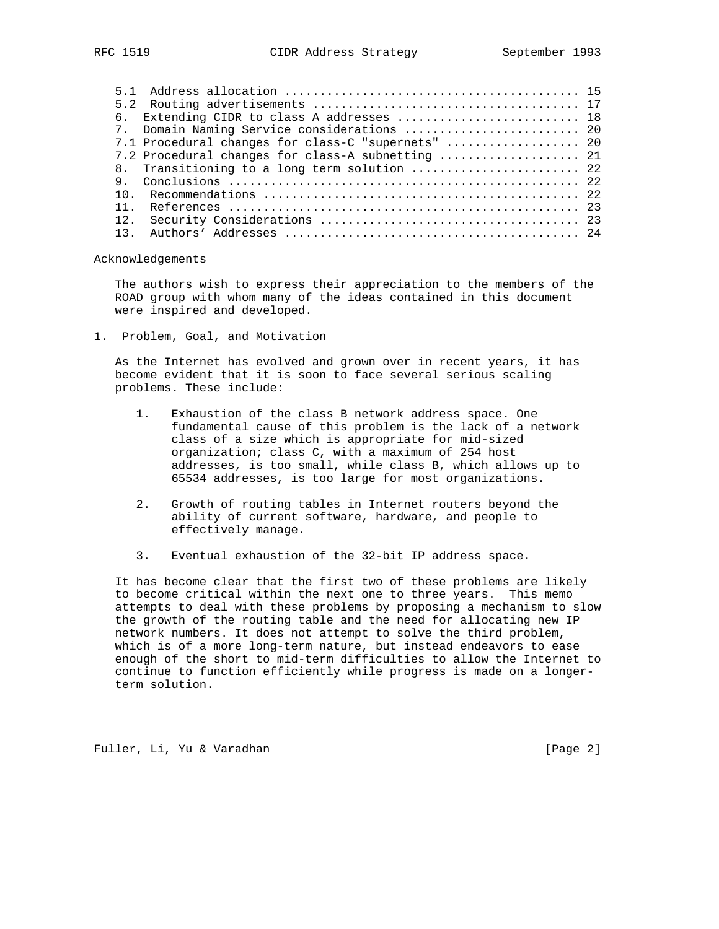| RFC |  |  |
|-----|--|--|
|-----|--|--|

|     | 6. Extending CIDR to class A addresses  18         |  |
|-----|----------------------------------------------------|--|
|     | 7. Domain Naming Service considerations  20        |  |
|     | 7.1 Procedural changes for class-C "supernets"  20 |  |
|     | 7.2 Procedural changes for class-A subnetting  21  |  |
|     | 8. Transitioning to a long term solution  22       |  |
|     |                                                    |  |
|     |                                                    |  |
| 11  |                                                    |  |
| 12. |                                                    |  |
|     |                                                    |  |
|     |                                                    |  |

Acknowledgements

 The authors wish to express their appreciation to the members of the ROAD group with whom many of the ideas contained in this document were inspired and developed.

1. Problem, Goal, and Motivation

 As the Internet has evolved and grown over in recent years, it has become evident that it is soon to face several serious scaling problems. These include:

- 1. Exhaustion of the class B network address space. One fundamental cause of this problem is the lack of a network class of a size which is appropriate for mid-sized organization; class C, with a maximum of 254 host addresses, is too small, while class B, which allows up to 65534 addresses, is too large for most organizations.
- 2. Growth of routing tables in Internet routers beyond the ability of current software, hardware, and people to effectively manage.
- 3. Eventual exhaustion of the 32-bit IP address space.

 It has become clear that the first two of these problems are likely to become critical within the next one to three years. This memo attempts to deal with these problems by proposing a mechanism to slow the growth of the routing table and the need for allocating new IP network numbers. It does not attempt to solve the third problem, which is of a more long-term nature, but instead endeavors to ease enough of the short to mid-term difficulties to allow the Internet to continue to function efficiently while progress is made on a longer term solution.

Fuller, Li, Yu & Varadhan [Page 2]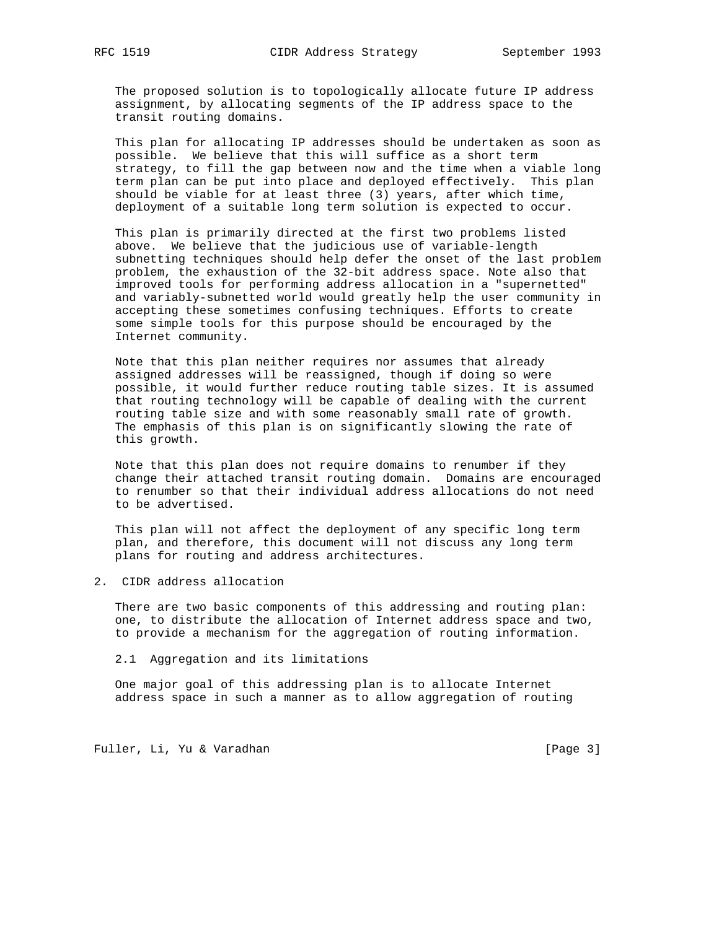The proposed solution is to topologically allocate future IP address assignment, by allocating segments of the IP address space to the transit routing domains.

 This plan for allocating IP addresses should be undertaken as soon as possible. We believe that this will suffice as a short term strategy, to fill the gap between now and the time when a viable long term plan can be put into place and deployed effectively. This plan should be viable for at least three (3) years, after which time, deployment of a suitable long term solution is expected to occur.

 This plan is primarily directed at the first two problems listed above. We believe that the judicious use of variable-length subnetting techniques should help defer the onset of the last problem problem, the exhaustion of the 32-bit address space. Note also that improved tools for performing address allocation in a "supernetted" and variably-subnetted world would greatly help the user community in accepting these sometimes confusing techniques. Efforts to create some simple tools for this purpose should be encouraged by the Internet community.

 Note that this plan neither requires nor assumes that already assigned addresses will be reassigned, though if doing so were possible, it would further reduce routing table sizes. It is assumed that routing technology will be capable of dealing with the current routing table size and with some reasonably small rate of growth. The emphasis of this plan is on significantly slowing the rate of this growth.

 Note that this plan does not require domains to renumber if they change their attached transit routing domain. Domains are encouraged to renumber so that their individual address allocations do not need to be advertised.

 This plan will not affect the deployment of any specific long term plan, and therefore, this document will not discuss any long term plans for routing and address architectures.

2. CIDR address allocation

 There are two basic components of this addressing and routing plan: one, to distribute the allocation of Internet address space and two, to provide a mechanism for the aggregation of routing information.

2.1 Aggregation and its limitations

 One major goal of this addressing plan is to allocate Internet address space in such a manner as to allow aggregation of routing

Fuller, Li, Yu & Varadhan [Page 3]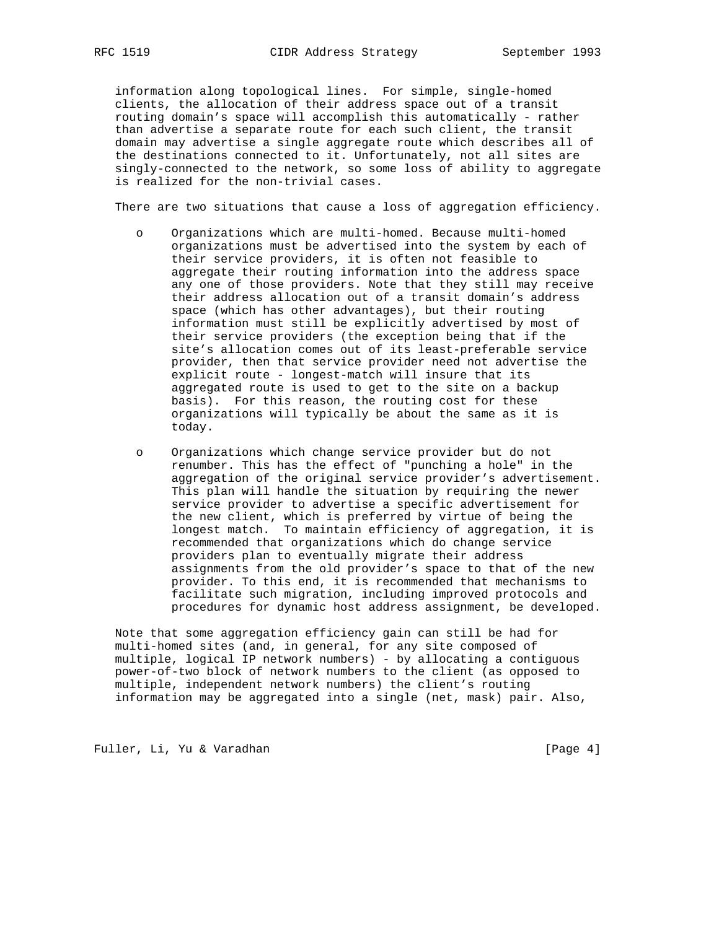information along topological lines. For simple, single-homed clients, the allocation of their address space out of a transit routing domain's space will accomplish this automatically - rather than advertise a separate route for each such client, the transit domain may advertise a single aggregate route which describes all of the destinations connected to it. Unfortunately, not all sites are singly-connected to the network, so some loss of ability to aggregate is realized for the non-trivial cases.

There are two situations that cause a loss of aggregation efficiency.

- o Organizations which are multi-homed. Because multi-homed organizations must be advertised into the system by each of their service providers, it is often not feasible to aggregate their routing information into the address space any one of those providers. Note that they still may receive their address allocation out of a transit domain's address space (which has other advantages), but their routing information must still be explicitly advertised by most of their service providers (the exception being that if the site's allocation comes out of its least-preferable service provider, then that service provider need not advertise the explicit route - longest-match will insure that its aggregated route is used to get to the site on a backup basis). For this reason, the routing cost for these organizations will typically be about the same as it is today.
- o Organizations which change service provider but do not renumber. This has the effect of "punching a hole" in the aggregation of the original service provider's advertisement. This plan will handle the situation by requiring the newer service provider to advertise a specific advertisement for the new client, which is preferred by virtue of being the longest match. To maintain efficiency of aggregation, it is recommended that organizations which do change service providers plan to eventually migrate their address assignments from the old provider's space to that of the new provider. To this end, it is recommended that mechanisms to facilitate such migration, including improved protocols and procedures for dynamic host address assignment, be developed.

 Note that some aggregation efficiency gain can still be had for multi-homed sites (and, in general, for any site composed of multiple, logical IP network numbers) - by allocating a contiguous power-of-two block of network numbers to the client (as opposed to multiple, independent network numbers) the client's routing information may be aggregated into a single (net, mask) pair. Also,

Fuller, Li, Yu & Varadhan [Page 4]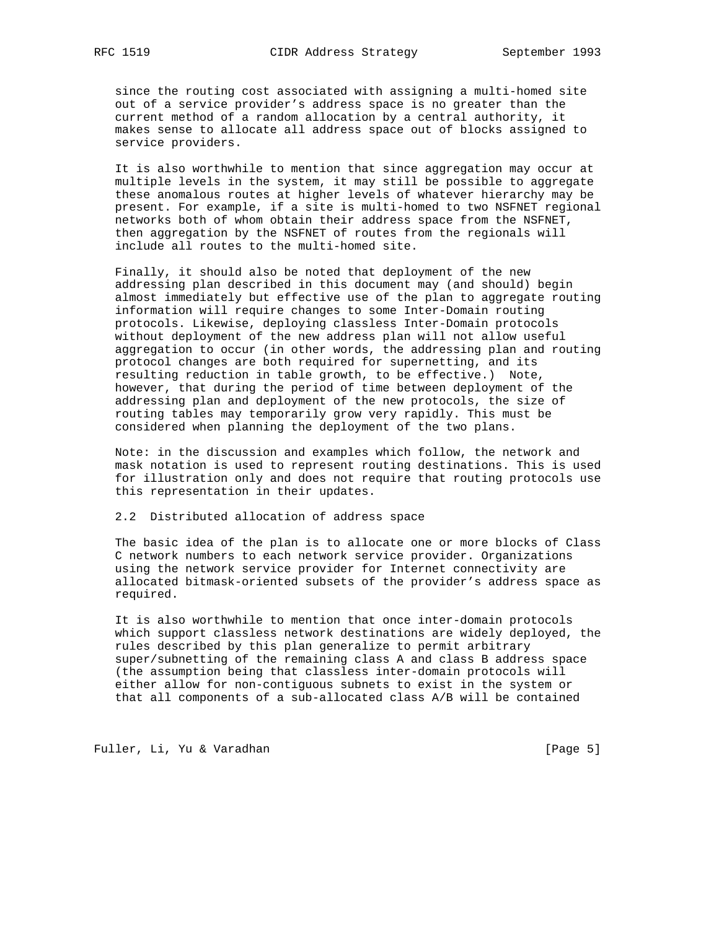since the routing cost associated with assigning a multi-homed site out of a service provider's address space is no greater than the current method of a random allocation by a central authority, it makes sense to allocate all address space out of blocks assigned to service providers.

 It is also worthwhile to mention that since aggregation may occur at multiple levels in the system, it may still be possible to aggregate these anomalous routes at higher levels of whatever hierarchy may be present. For example, if a site is multi-homed to two NSFNET regional networks both of whom obtain their address space from the NSFNET, then aggregation by the NSFNET of routes from the regionals will include all routes to the multi-homed site.

 Finally, it should also be noted that deployment of the new addressing plan described in this document may (and should) begin almost immediately but effective use of the plan to aggregate routing information will require changes to some Inter-Domain routing protocols. Likewise, deploying classless Inter-Domain protocols without deployment of the new address plan will not allow useful aggregation to occur (in other words, the addressing plan and routing protocol changes are both required for supernetting, and its resulting reduction in table growth, to be effective.) Note, however, that during the period of time between deployment of the addressing plan and deployment of the new protocols, the size of routing tables may temporarily grow very rapidly. This must be considered when planning the deployment of the two plans.

 Note: in the discussion and examples which follow, the network and mask notation is used to represent routing destinations. This is used for illustration only and does not require that routing protocols use this representation in their updates.

## 2.2 Distributed allocation of address space

 The basic idea of the plan is to allocate one or more blocks of Class C network numbers to each network service provider. Organizations using the network service provider for Internet connectivity are allocated bitmask-oriented subsets of the provider's address space as required.

 It is also worthwhile to mention that once inter-domain protocols which support classless network destinations are widely deployed, the rules described by this plan generalize to permit arbitrary super/subnetting of the remaining class A and class B address space (the assumption being that classless inter-domain protocols will either allow for non-contiguous subnets to exist in the system or that all components of a sub-allocated class A/B will be contained

Fuller, Li, Yu & Varadhan [Page 5]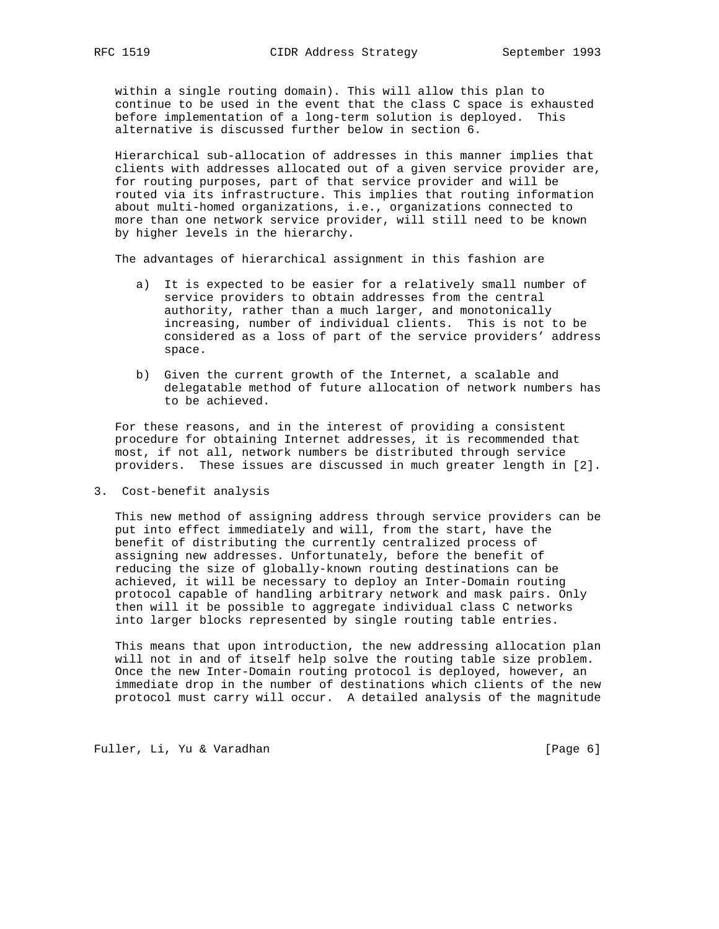within a single routing domain). This will allow this plan to continue to be used in the event that the class C space is exhausted before implementation of a long-term solution is deployed. This alternative is discussed further below in section 6.

 Hierarchical sub-allocation of addresses in this manner implies that clients with addresses allocated out of a given service provider are, for routing purposes, part of that service provider and will be routed via its infrastructure. This implies that routing information about multi-homed organizations, i.e., organizations connected to more than one network service provider, will still need to be known by higher levels in the hierarchy.

The advantages of hierarchical assignment in this fashion are

- a) It is expected to be easier for a relatively small number of service providers to obtain addresses from the central authority, rather than a much larger, and monotonically increasing, number of individual clients. This is not to be considered as a loss of part of the service providers' address space.
- b) Given the current growth of the Internet, a scalable and delegatable method of future allocation of network numbers has to be achieved.

 For these reasons, and in the interest of providing a consistent procedure for obtaining Internet addresses, it is recommended that most, if not all, network numbers be distributed through service providers. These issues are discussed in much greater length in [2].

3. Cost-benefit analysis

 This new method of assigning address through service providers can be put into effect immediately and will, from the start, have the benefit of distributing the currently centralized process of assigning new addresses. Unfortunately, before the benefit of reducing the size of globally-known routing destinations can be achieved, it will be necessary to deploy an Inter-Domain routing protocol capable of handling arbitrary network and mask pairs. Only then will it be possible to aggregate individual class C networks into larger blocks represented by single routing table entries.

 This means that upon introduction, the new addressing allocation plan will not in and of itself help solve the routing table size problem. Once the new Inter-Domain routing protocol is deployed, however, an immediate drop in the number of destinations which clients of the new protocol must carry will occur. A detailed analysis of the magnitude

Fuller, Li, Yu & Varadhan [Page 6]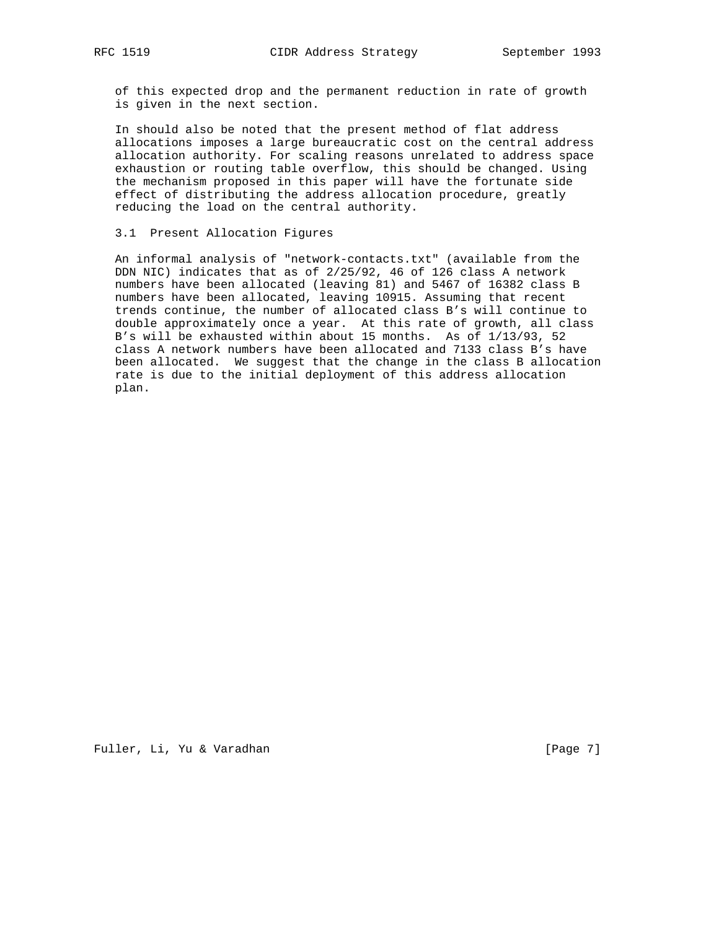of this expected drop and the permanent reduction in rate of growth is given in the next section.

 In should also be noted that the present method of flat address allocations imposes a large bureaucratic cost on the central address allocation authority. For scaling reasons unrelated to address space exhaustion or routing table overflow, this should be changed. Using the mechanism proposed in this paper will have the fortunate side effect of distributing the address allocation procedure, greatly reducing the load on the central authority.

# 3.1 Present Allocation Figures

 An informal analysis of "network-contacts.txt" (available from the DDN NIC) indicates that as of 2/25/92, 46 of 126 class A network numbers have been allocated (leaving 81) and 5467 of 16382 class B numbers have been allocated, leaving 10915. Assuming that recent trends continue, the number of allocated class B's will continue to double approximately once a year. At this rate of growth, all class B's will be exhausted within about 15 months. As of 1/13/93, 52 class A network numbers have been allocated and 7133 class B's have been allocated. We suggest that the change in the class B allocation rate is due to the initial deployment of this address allocation plan.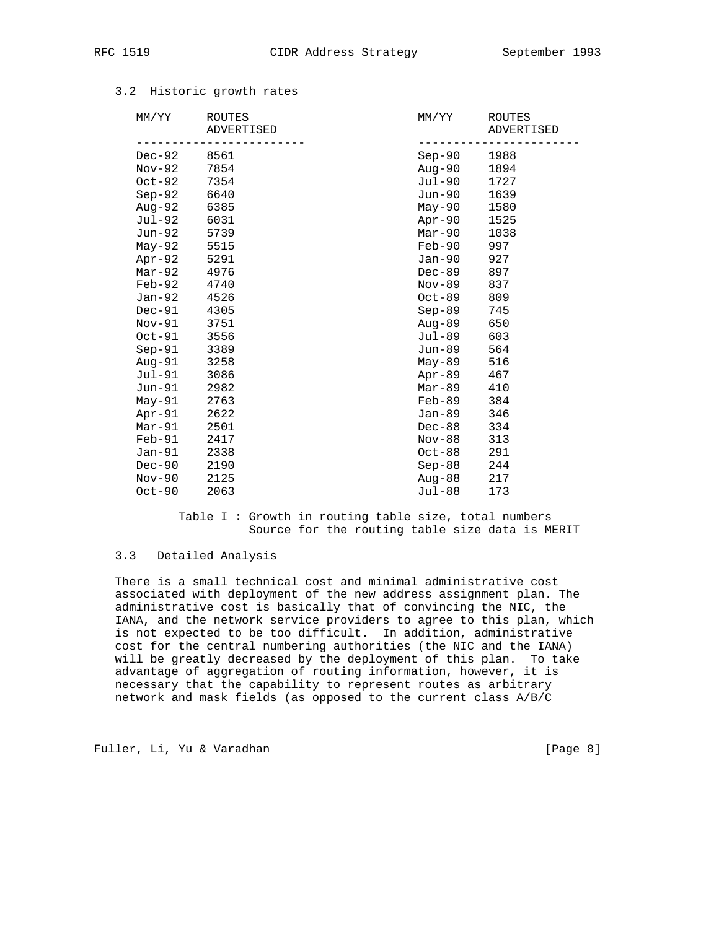| MM/YY       | ROUTES<br>ADVERTISED | MM/YY    | ROUTES<br>ADVERTISED |
|-------------|----------------------|----------|----------------------|
| Dec-92      | 8561                 | Sep-90   | 1988                 |
| $Nov-92$    | 7854                 | Aug-90   | 1894                 |
| $Oct-92$    | 7354                 | Jul-90   | 1727                 |
| $Sep-92$    | 6640                 | Jun-90   | 1639                 |
| Aug-92      | 6385                 | $May-90$ | 1580                 |
| Jul-92      | 6031                 | Apr-90   | 1525                 |
| Jun-92 5739 |                      | $Mar-90$ | 1038                 |
| May-92      | 5515                 | Feb-90   | 997                  |
| Apr-92      | 5291                 | Jan-90   | 927                  |
| Mar-92      | 4976                 | $Dec-89$ | 897                  |
| Feb-92      | 4740                 | Nov-89   | 837                  |
| Jan-92      | 4526                 | Oct-89   | 809                  |
| $Dec-91$    | 4305                 | $Sep-89$ | 745                  |
| $Nov-91$    | 3751                 | Aug-89   | 650                  |
| $Oct-91$    | 3556                 | Jul-89   | 603                  |
| Sep-91      | 3389                 | Jun-89   | 564                  |
| Aug-91      | 3258                 | May-89   | 516                  |
| $Jul-91$    | 3086                 | Apr-89   | 467                  |
| $Jun-91$    | 2982                 | Mar-89   | 410                  |
| $May-91$    | 2763                 | Feb-89   | 384                  |
| $Apr-91$    | 2622                 | Jan-89   | 346                  |
| $Mar-91$    | 2501                 | $Dec-88$ | 334                  |
| $Feb-91$    | 2417                 | Nov-88   | 313                  |
| $Jan-91$    | 2338                 | Oct-88   | 291                  |
| $Dec-90$    | 2190                 | $Sep-88$ | 244                  |
| $Nov-90$    | 2125                 | Aug-88   | 217                  |
| $Oct-90$    | 2063                 | Jul-88   | 173                  |
|             |                      |          |                      |

# 3.2 Historic growth rates

 Table I : Growth in routing table size, total numbers Source for the routing table size data is MERIT

## 3.3 Detailed Analysis

 There is a small technical cost and minimal administrative cost associated with deployment of the new address assignment plan. The administrative cost is basically that of convincing the NIC, the IANA, and the network service providers to agree to this plan, which is not expected to be too difficult. In addition, administrative cost for the central numbering authorities (the NIC and the IANA) will be greatly decreased by the deployment of this plan. To take advantage of aggregation of routing information, however, it is necessary that the capability to represent routes as arbitrary network and mask fields (as opposed to the current class A/B/C

Fuller, Li, Yu & Varadhan [Page 8]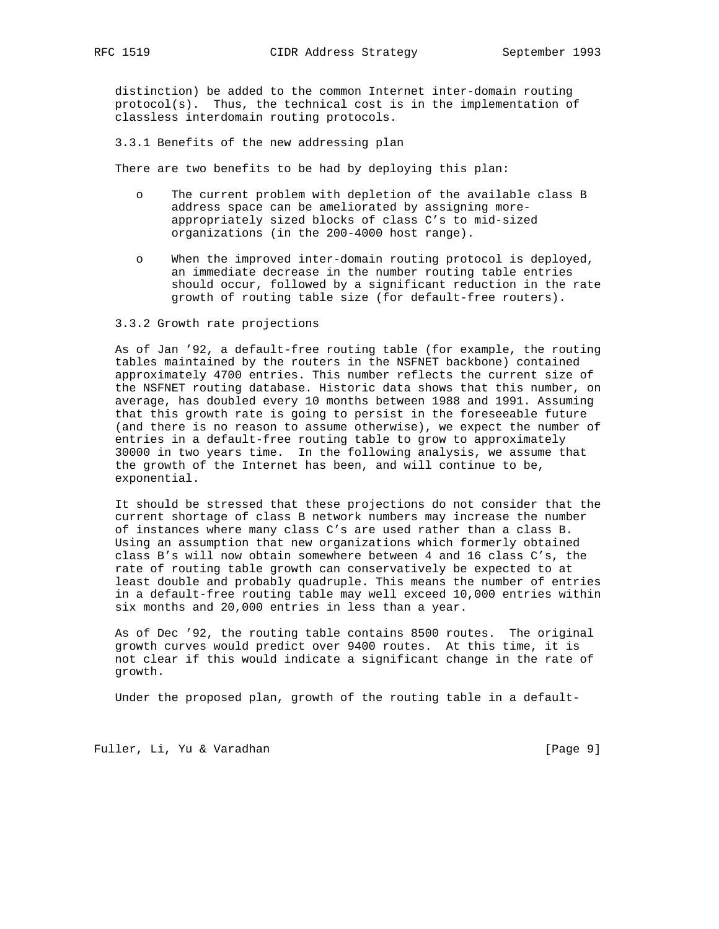distinction) be added to the common Internet inter-domain routing  $protocol(s)$ . Thus, the technical cost is in the implementation of classless interdomain routing protocols.

3.3.1 Benefits of the new addressing plan

There are two benefits to be had by deploying this plan:

- o The current problem with depletion of the available class B address space can be ameliorated by assigning more appropriately sized blocks of class C's to mid-sized organizations (in the 200-4000 host range).
- o When the improved inter-domain routing protocol is deployed, an immediate decrease in the number routing table entries should occur, followed by a significant reduction in the rate growth of routing table size (for default-free routers).

#### 3.3.2 Growth rate projections

 As of Jan '92, a default-free routing table (for example, the routing tables maintained by the routers in the NSFNET backbone) contained approximately 4700 entries. This number reflects the current size of the NSFNET routing database. Historic data shows that this number, on average, has doubled every 10 months between 1988 and 1991. Assuming that this growth rate is going to persist in the foreseeable future (and there is no reason to assume otherwise), we expect the number of entries in a default-free routing table to grow to approximately 30000 in two years time. In the following analysis, we assume that the growth of the Internet has been, and will continue to be, exponential.

 It should be stressed that these projections do not consider that the current shortage of class B network numbers may increase the number of instances where many class C's are used rather than a class B. Using an assumption that new organizations which formerly obtained class B's will now obtain somewhere between 4 and 16 class C's, the rate of routing table growth can conservatively be expected to at least double and probably quadruple. This means the number of entries in a default-free routing table may well exceed 10,000 entries within six months and 20,000 entries in less than a year.

 As of Dec '92, the routing table contains 8500 routes. The original growth curves would predict over 9400 routes. At this time, it is not clear if this would indicate a significant change in the rate of growth.

Under the proposed plan, growth of the routing table in a default-

Fuller, Li, Yu & Varadhan [Page 9]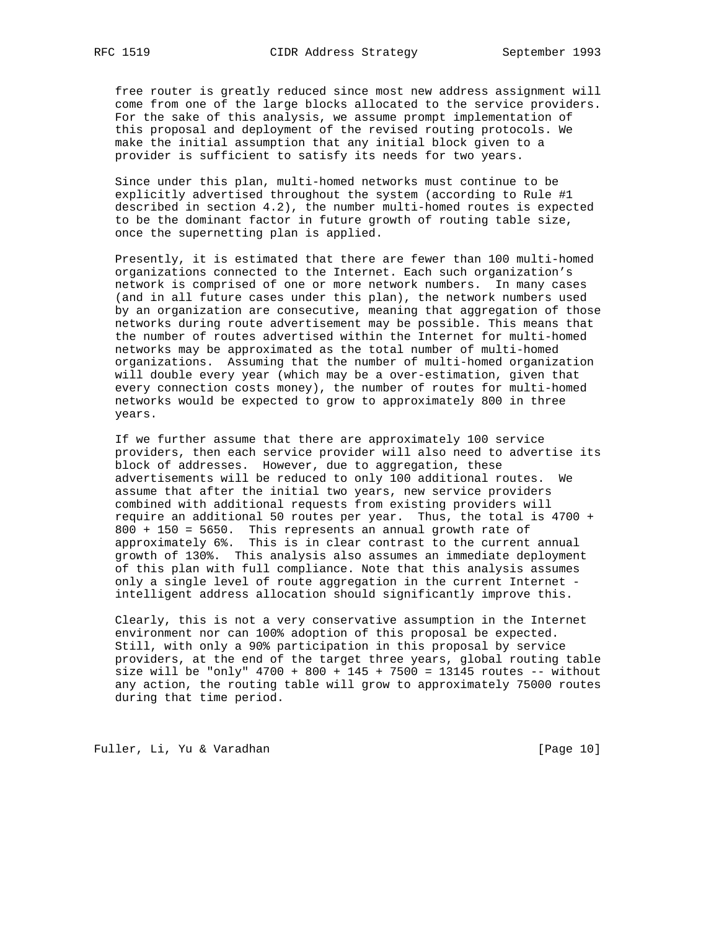free router is greatly reduced since most new address assignment will come from one of the large blocks allocated to the service providers. For the sake of this analysis, we assume prompt implementation of this proposal and deployment of the revised routing protocols. We make the initial assumption that any initial block given to a provider is sufficient to satisfy its needs for two years.

 Since under this plan, multi-homed networks must continue to be explicitly advertised throughout the system (according to Rule #1 described in section 4.2), the number multi-homed routes is expected to be the dominant factor in future growth of routing table size, once the supernetting plan is applied.

 Presently, it is estimated that there are fewer than 100 multi-homed organizations connected to the Internet. Each such organization's network is comprised of one or more network numbers. In many cases (and in all future cases under this plan), the network numbers used by an organization are consecutive, meaning that aggregation of those networks during route advertisement may be possible. This means that the number of routes advertised within the Internet for multi-homed networks may be approximated as the total number of multi-homed organizations. Assuming that the number of multi-homed organization will double every year (which may be a over-estimation, given that every connection costs money), the number of routes for multi-homed networks would be expected to grow to approximately 800 in three years.

 If we further assume that there are approximately 100 service providers, then each service provider will also need to advertise its block of addresses. However, due to aggregation, these advertisements will be reduced to only 100 additional routes. We assume that after the initial two years, new service providers combined with additional requests from existing providers will require an additional 50 routes per year. Thus, the total is 4700 + 800 + 150 = 5650. This represents an annual growth rate of approximately 6%. This is in clear contrast to the current annual growth of 130%. This analysis also assumes an immediate deployment of this plan with full compliance. Note that this analysis assumes only a single level of route aggregation in the current Internet intelligent address allocation should significantly improve this.

 Clearly, this is not a very conservative assumption in the Internet environment nor can 100% adoption of this proposal be expected. Still, with only a 90% participation in this proposal by service providers, at the end of the target three years, global routing table size will be "only"  $4700 + 800 + 145 + 7500 = 13145$  routes -- without any action, the routing table will grow to approximately 75000 routes during that time period.

Fuller, Li, Yu & Varadhan [Page 10]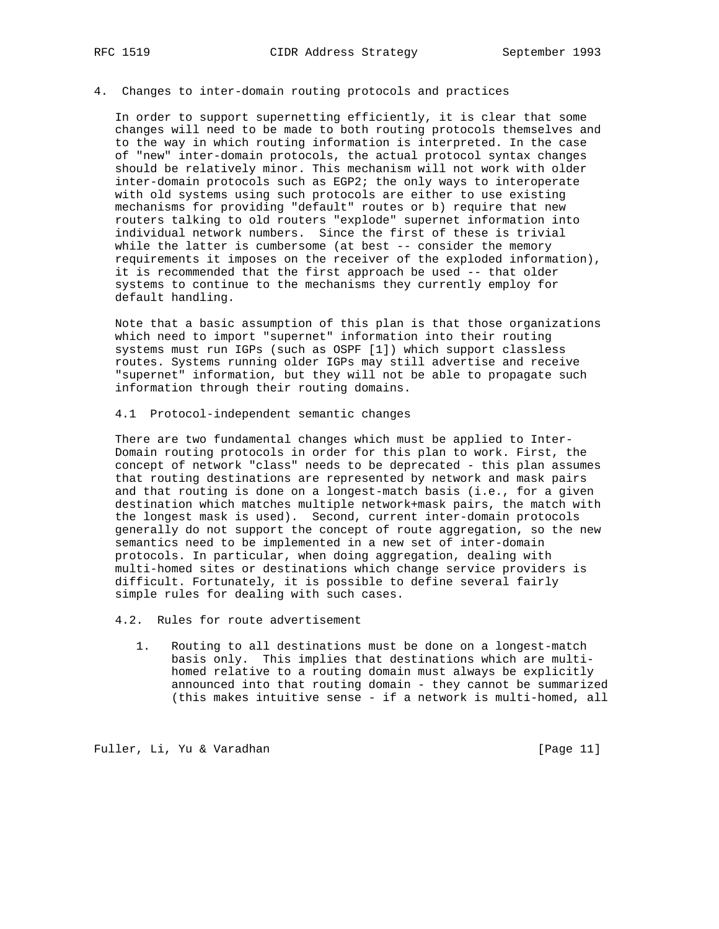#### 4. Changes to inter-domain routing protocols and practices

 In order to support supernetting efficiently, it is clear that some changes will need to be made to both routing protocols themselves and to the way in which routing information is interpreted. In the case of "new" inter-domain protocols, the actual protocol syntax changes should be relatively minor. This mechanism will not work with older inter-domain protocols such as EGP2; the only ways to interoperate with old systems using such protocols are either to use existing mechanisms for providing "default" routes or b) require that new routers talking to old routers "explode" supernet information into individual network numbers. Since the first of these is trivial while the latter is cumbersome (at best -- consider the memory requirements it imposes on the receiver of the exploded information), it is recommended that the first approach be used -- that older systems to continue to the mechanisms they currently employ for default handling.

 Note that a basic assumption of this plan is that those organizations which need to import "supernet" information into their routing systems must run IGPs (such as OSPF [1]) which support classless routes. Systems running older IGPs may still advertise and receive "supernet" information, but they will not be able to propagate such information through their routing domains.

4.1 Protocol-independent semantic changes

 There are two fundamental changes which must be applied to Inter- Domain routing protocols in order for this plan to work. First, the concept of network "class" needs to be deprecated - this plan assumes that routing destinations are represented by network and mask pairs and that routing is done on a longest-match basis (i.e., for a given destination which matches multiple network+mask pairs, the match with the longest mask is used). Second, current inter-domain protocols generally do not support the concept of route aggregation, so the new semantics need to be implemented in a new set of inter-domain protocols. In particular, when doing aggregation, dealing with multi-homed sites or destinations which change service providers is difficult. Fortunately, it is possible to define several fairly simple rules for dealing with such cases.

4.2. Rules for route advertisement

 1. Routing to all destinations must be done on a longest-match basis only. This implies that destinations which are multi homed relative to a routing domain must always be explicitly announced into that routing domain - they cannot be summarized (this makes intuitive sense - if a network is multi-homed, all

Fuller, Li, Yu & Varadhan [Page 11]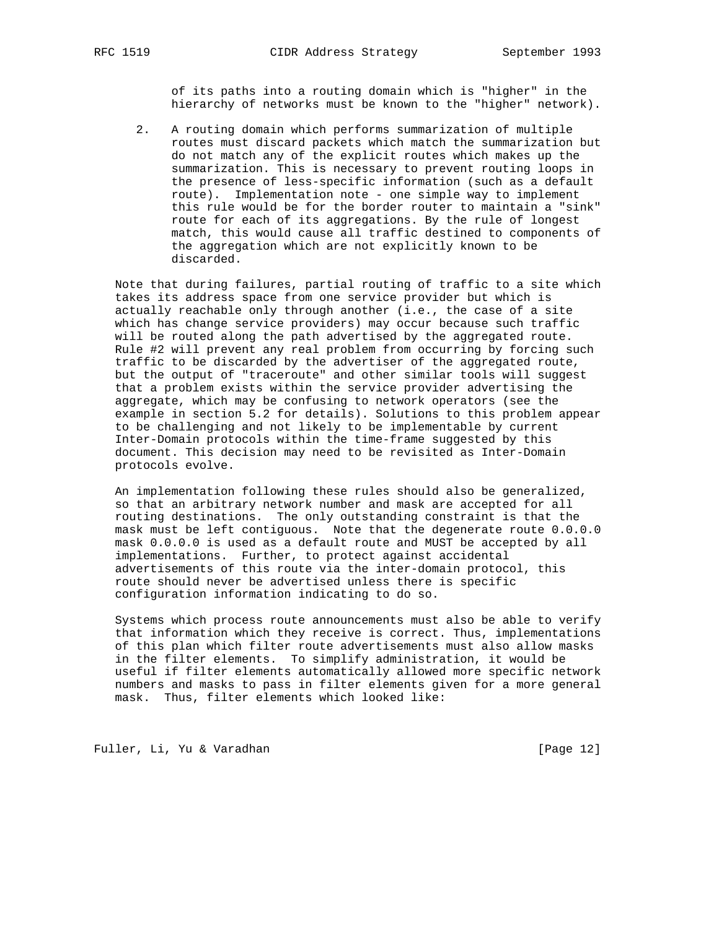of its paths into a routing domain which is "higher" in the hierarchy of networks must be known to the "higher" network).

 2. A routing domain which performs summarization of multiple routes must discard packets which match the summarization but do not match any of the explicit routes which makes up the summarization. This is necessary to prevent routing loops in the presence of less-specific information (such as a default route). Implementation note - one simple way to implement this rule would be for the border router to maintain a "sink" route for each of its aggregations. By the rule of longest match, this would cause all traffic destined to components of the aggregation which are not explicitly known to be discarded.

 Note that during failures, partial routing of traffic to a site which takes its address space from one service provider but which is actually reachable only through another (i.e., the case of a site which has change service providers) may occur because such traffic will be routed along the path advertised by the aggregated route. Rule #2 will prevent any real problem from occurring by forcing such traffic to be discarded by the advertiser of the aggregated route, but the output of "traceroute" and other similar tools will suggest that a problem exists within the service provider advertising the aggregate, which may be confusing to network operators (see the example in section 5.2 for details). Solutions to this problem appear to be challenging and not likely to be implementable by current Inter-Domain protocols within the time-frame suggested by this document. This decision may need to be revisited as Inter-Domain protocols evolve.

 An implementation following these rules should also be generalized, so that an arbitrary network number and mask are accepted for all routing destinations. The only outstanding constraint is that the mask must be left contiguous. Note that the degenerate route 0.0.0.0 mask 0.0.0.0 is used as a default route and MUST be accepted by all implementations. Further, to protect against accidental advertisements of this route via the inter-domain protocol, this route should never be advertised unless there is specific configuration information indicating to do so.

 Systems which process route announcements must also be able to verify that information which they receive is correct. Thus, implementations of this plan which filter route advertisements must also allow masks in the filter elements. To simplify administration, it would be useful if filter elements automatically allowed more specific network numbers and masks to pass in filter elements given for a more general mask. Thus, filter elements which looked like:

Fuller, Li, Yu & Varadhan [Page 12]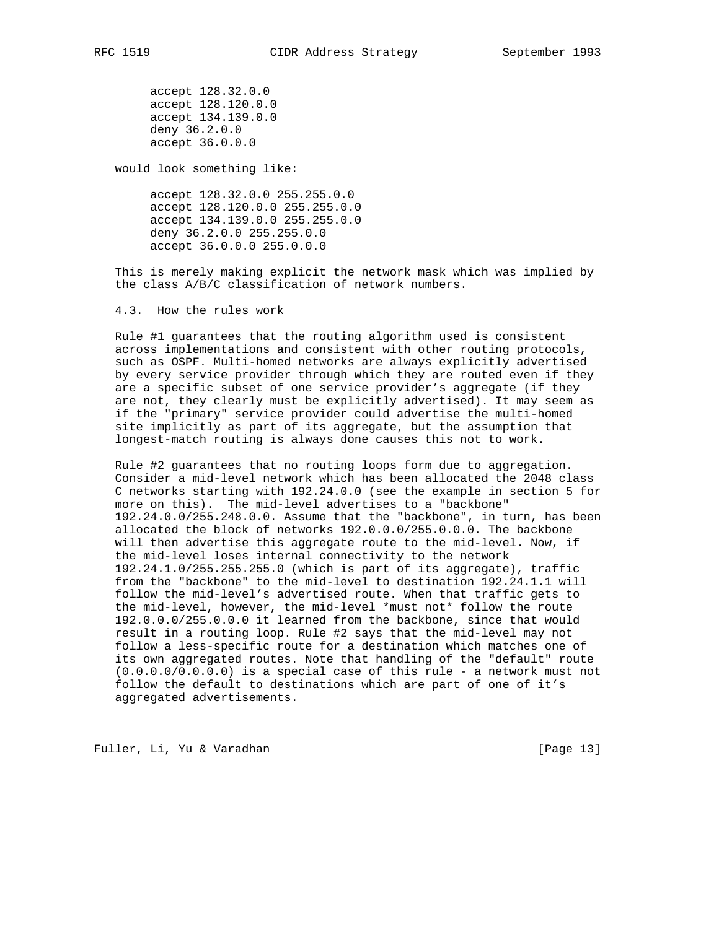accept 128.32.0.0 accept 128.120.0.0 accept 134.139.0.0 deny 36.2.0.0 accept 36.0.0.0

would look something like:

 accept 128.32.0.0 255.255.0.0 accept 128.120.0.0 255.255.0.0 accept 134.139.0.0 255.255.0.0 deny 36.2.0.0 255.255.0.0 accept 36.0.0.0 255.0.0.0

 This is merely making explicit the network mask which was implied by the class A/B/C classification of network numbers.

4.3. How the rules work

 Rule #1 guarantees that the routing algorithm used is consistent across implementations and consistent with other routing protocols, such as OSPF. Multi-homed networks are always explicitly advertised by every service provider through which they are routed even if they are a specific subset of one service provider's aggregate (if they are not, they clearly must be explicitly advertised). It may seem as if the "primary" service provider could advertise the multi-homed site implicitly as part of its aggregate, but the assumption that longest-match routing is always done causes this not to work.

 Rule #2 guarantees that no routing loops form due to aggregation. Consider a mid-level network which has been allocated the 2048 class C networks starting with 192.24.0.0 (see the example in section 5 for more on this). The mid-level advertises to a "backbone" 192.24.0.0/255.248.0.0. Assume that the "backbone", in turn, has been allocated the block of networks 192.0.0.0/255.0.0.0. The backbone will then advertise this aggregate route to the mid-level. Now, if the mid-level loses internal connectivity to the network 192.24.1.0/255.255.255.0 (which is part of its aggregate), traffic from the "backbone" to the mid-level to destination 192.24.1.1 will follow the mid-level's advertised route. When that traffic gets to the mid-level, however, the mid-level \*must not\* follow the route 192.0.0.0/255.0.0.0 it learned from the backbone, since that would result in a routing loop. Rule #2 says that the mid-level may not follow a less-specific route for a destination which matches one of its own aggregated routes. Note that handling of the "default" route (0.0.0.0/0.0.0.0) is a special case of this rule - a network must not follow the default to destinations which are part of one of it's aggregated advertisements.

Fuller, Li, Yu & Varadhan [Page 13]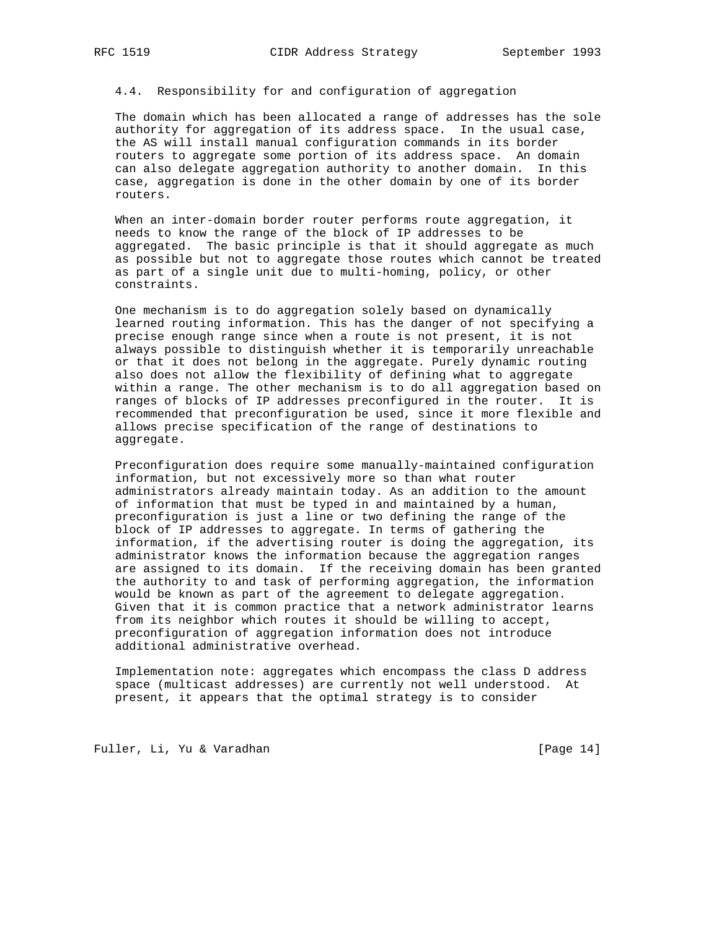4.4. Responsibility for and configuration of aggregation

 The domain which has been allocated a range of addresses has the sole authority for aggregation of its address space. In the usual case, the AS will install manual configuration commands in its border routers to aggregate some portion of its address space. An domain can also delegate aggregation authority to another domain. In this case, aggregation is done in the other domain by one of its border routers.

 When an inter-domain border router performs route aggregation, it needs to know the range of the block of IP addresses to be aggregated. The basic principle is that it should aggregate as much as possible but not to aggregate those routes which cannot be treated as part of a single unit due to multi-homing, policy, or other constraints.

 One mechanism is to do aggregation solely based on dynamically learned routing information. This has the danger of not specifying a precise enough range since when a route is not present, it is not always possible to distinguish whether it is temporarily unreachable or that it does not belong in the aggregate. Purely dynamic routing also does not allow the flexibility of defining what to aggregate within a range. The other mechanism is to do all aggregation based on ranges of blocks of IP addresses preconfigured in the router. It is recommended that preconfiguration be used, since it more flexible and allows precise specification of the range of destinations to aggregate.

 Preconfiguration does require some manually-maintained configuration information, but not excessively more so than what router administrators already maintain today. As an addition to the amount of information that must be typed in and maintained by a human, preconfiguration is just a line or two defining the range of the block of IP addresses to aggregate. In terms of gathering the information, if the advertising router is doing the aggregation, its administrator knows the information because the aggregation ranges are assigned to its domain. If the receiving domain has been granted the authority to and task of performing aggregation, the information would be known as part of the agreement to delegate aggregation. Given that it is common practice that a network administrator learns from its neighbor which routes it should be willing to accept, preconfiguration of aggregation information does not introduce additional administrative overhead.

 Implementation note: aggregates which encompass the class D address space (multicast addresses) are currently not well understood. At present, it appears that the optimal strategy is to consider

Fuller, Li, Yu & Varadhan [Page 14]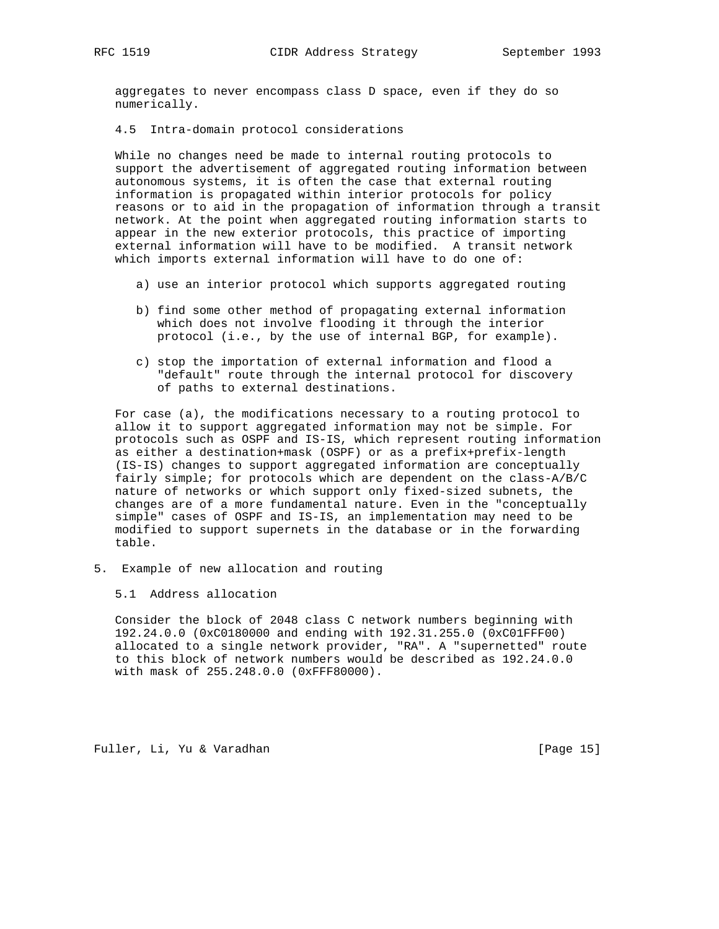aggregates to never encompass class D space, even if they do so numerically.

## 4.5 Intra-domain protocol considerations

 While no changes need be made to internal routing protocols to support the advertisement of aggregated routing information between autonomous systems, it is often the case that external routing information is propagated within interior protocols for policy reasons or to aid in the propagation of information through a transit network. At the point when aggregated routing information starts to appear in the new exterior protocols, this practice of importing external information will have to be modified. A transit network which imports external information will have to do one of:

- a) use an interior protocol which supports aggregated routing
- b) find some other method of propagating external information which does not involve flooding it through the interior protocol (i.e., by the use of internal BGP, for example).
- c) stop the importation of external information and flood a "default" route through the internal protocol for discovery of paths to external destinations.

 For case (a), the modifications necessary to a routing protocol to allow it to support aggregated information may not be simple. For protocols such as OSPF and IS-IS, which represent routing information as either a destination+mask (OSPF) or as a prefix+prefix-length (IS-IS) changes to support aggregated information are conceptually fairly simple; for protocols which are dependent on the class-A/B/C nature of networks or which support only fixed-sized subnets, the changes are of a more fundamental nature. Even in the "conceptually simple" cases of OSPF and IS-IS, an implementation may need to be modified to support supernets in the database or in the forwarding table.

5. Example of new allocation and routing

5.1 Address allocation

 Consider the block of 2048 class C network numbers beginning with 192.24.0.0 (0xC0180000 and ending with 192.31.255.0 (0xC01FFF00) allocated to a single network provider, "RA". A "supernetted" route to this block of network numbers would be described as 192.24.0.0 with mask of 255.248.0.0 (0xFFF80000).

Fuller, Li, Yu & Varadhan [Page 15]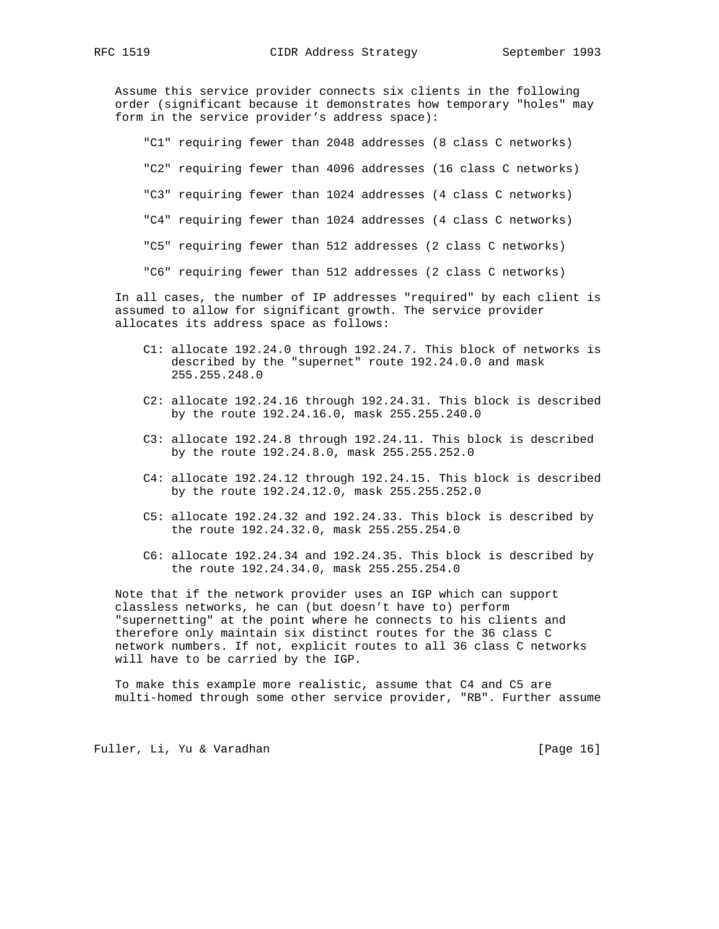Assume this service provider connects six clients in the following order (significant because it demonstrates how temporary "holes" may form in the service provider's address space):

 "C1" requiring fewer than 2048 addresses (8 class C networks) "C2" requiring fewer than 4096 addresses (16 class C networks) "C3" requiring fewer than 1024 addresses (4 class C networks) "C4" requiring fewer than 1024 addresses (4 class C networks) "C5" requiring fewer than 512 addresses (2 class C networks) "C6" requiring fewer than 512 addresses (2 class C networks)

 In all cases, the number of IP addresses "required" by each client is assumed to allow for significant growth. The service provider allocates its address space as follows:

- C1: allocate 192.24.0 through 192.24.7. This block of networks is described by the "supernet" route 192.24.0.0 and mask 255.255.248.0
- C2: allocate 192.24.16 through 192.24.31. This block is described by the route 192.24.16.0, mask 255.255.240.0
- C3: allocate 192.24.8 through 192.24.11. This block is described by the route 192.24.8.0, mask 255.255.252.0
- C4: allocate 192.24.12 through 192.24.15. This block is described by the route 192.24.12.0, mask 255.255.252.0
- C5: allocate 192.24.32 and 192.24.33. This block is described by the route 192.24.32.0, mask 255.255.254.0
- C6: allocate 192.24.34 and 192.24.35. This block is described by the route 192.24.34.0, mask 255.255.254.0

 Note that if the network provider uses an IGP which can support classless networks, he can (but doesn't have to) perform "supernetting" at the point where he connects to his clients and therefore only maintain six distinct routes for the 36 class C network numbers. If not, explicit routes to all 36 class C networks will have to be carried by the IGP.

 To make this example more realistic, assume that C4 and C5 are multi-homed through some other service provider, "RB". Further assume

Fuller, Li, Yu & Varadhan [Page 16]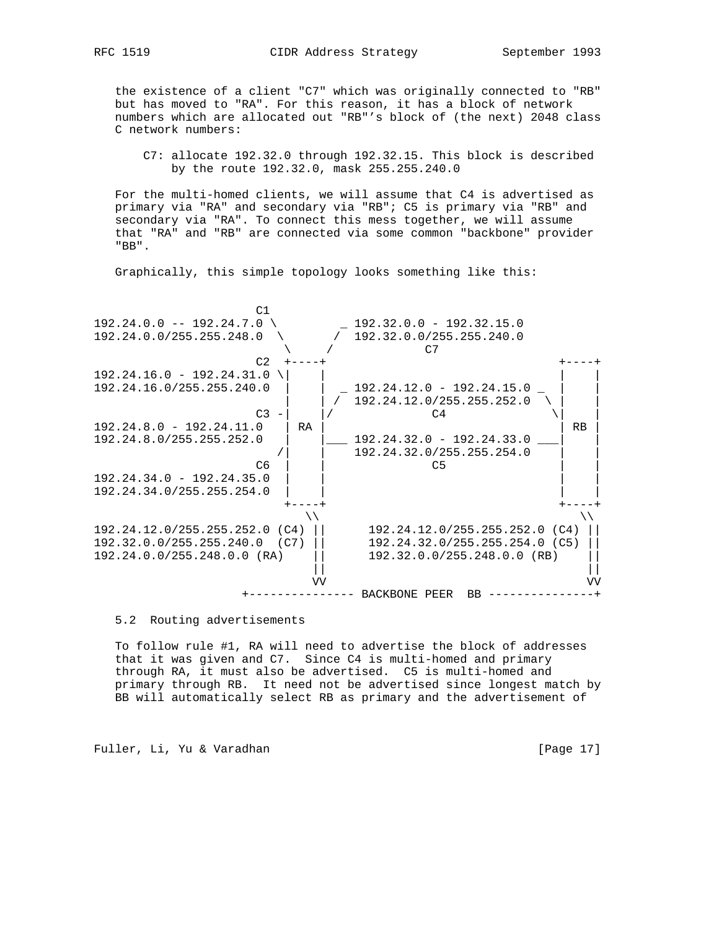the existence of a client "C7" which was originally connected to "RB" but has moved to "RA". For this reason, it has a block of network numbers which are allocated out "RB"'s block of (the next) 2048 class C network numbers:

 C7: allocate 192.32.0 through 192.32.15. This block is described by the route 192.32.0, mask 255.255.240.0

 For the multi-homed clients, we will assume that C4 is advertised as primary via "RA" and secondary via "RB"; C5 is primary via "RB" and secondary via "RA". To connect this mess together, we will assume that "RA" and "RB" are connected via some common "backbone" provider "BB".

Graphically, this simple topology looks something like this:



5.2 Routing advertisements

 To follow rule #1, RA will need to advertise the block of addresses that it was given and C7. Since C4 is multi-homed and primary through RA, it must also be advertised. C5 is multi-homed and primary through RB. It need not be advertised since longest match by BB will automatically select RB as primary and the advertisement of

Fuller, Li, Yu & Varadhan [Page 17]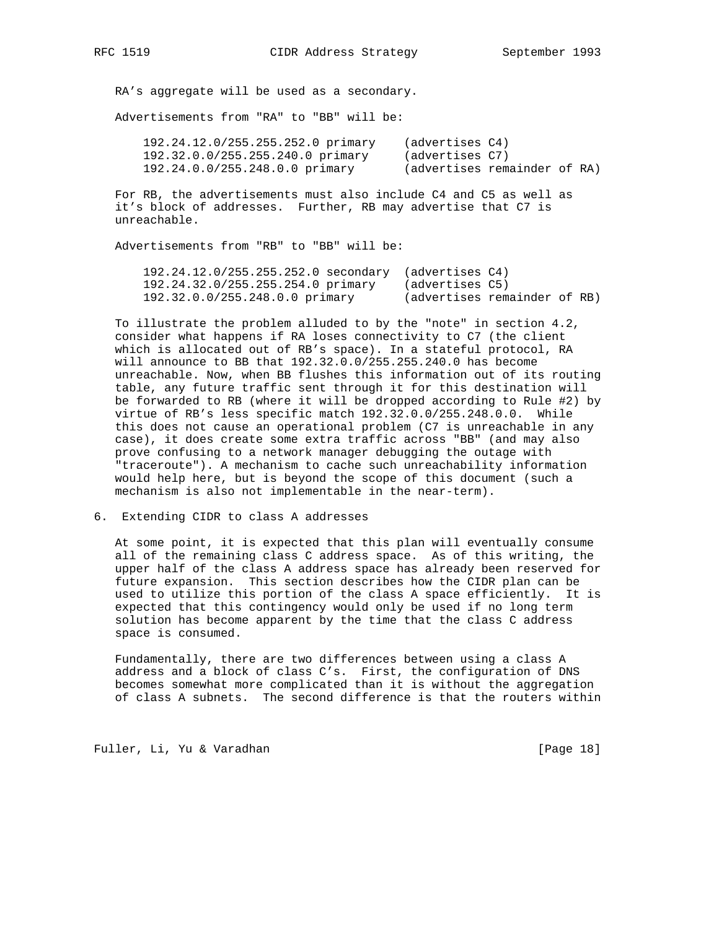RA's aggregate will be used as a secondary.

Advertisements from "RA" to "BB" will be:

| 192.24.12.0/255.255.252.0 primary | (advertises C4)              |  |  |
|-----------------------------------|------------------------------|--|--|
| 192.32.0.0/255.255.240.0 primary  | (advertises C7)              |  |  |
| 192.24.0.0/255.248.0.0 primary    | (advertises remainder of RA) |  |  |

 For RB, the advertisements must also include C4 and C5 as well as it's block of addresses. Further, RB may advertise that C7 is unreachable.

Advertisements from "RB" to "BB" will be:

| $192.24.12.0/255.255.252.0$ secondary (advertises C4) |                              |  |  |
|-------------------------------------------------------|------------------------------|--|--|
| 192.24.32.0/255.255.254.0 primary                     | (advertises C5)              |  |  |
| 192.32.0.0/255.248.0.0 primary                        | (advertises remainder of RB) |  |  |

 To illustrate the problem alluded to by the "note" in section 4.2, consider what happens if RA loses connectivity to C7 (the client which is allocated out of RB's space). In a stateful protocol, RA will announce to BB that 192.32.0.0/255.255.240.0 has become unreachable. Now, when BB flushes this information out of its routing table, any future traffic sent through it for this destination will be forwarded to RB (where it will be dropped according to Rule #2) by virtue of RB's less specific match 192.32.0.0/255.248.0.0. While this does not cause an operational problem (C7 is unreachable in any case), it does create some extra traffic across "BB" (and may also prove confusing to a network manager debugging the outage with "traceroute"). A mechanism to cache such unreachability information would help here, but is beyond the scope of this document (such a mechanism is also not implementable in the near-term).

## 6. Extending CIDR to class A addresses

 At some point, it is expected that this plan will eventually consume all of the remaining class C address space. As of this writing, the upper half of the class A address space has already been reserved for future expansion. This section describes how the CIDR plan can be used to utilize this portion of the class A space efficiently. It is expected that this contingency would only be used if no long term solution has become apparent by the time that the class C address space is consumed.

 Fundamentally, there are two differences between using a class A address and a block of class C's. First, the configuration of DNS becomes somewhat more complicated than it is without the aggregation of class A subnets. The second difference is that the routers within

Fuller, Li, Yu & Varadhan [Page 18]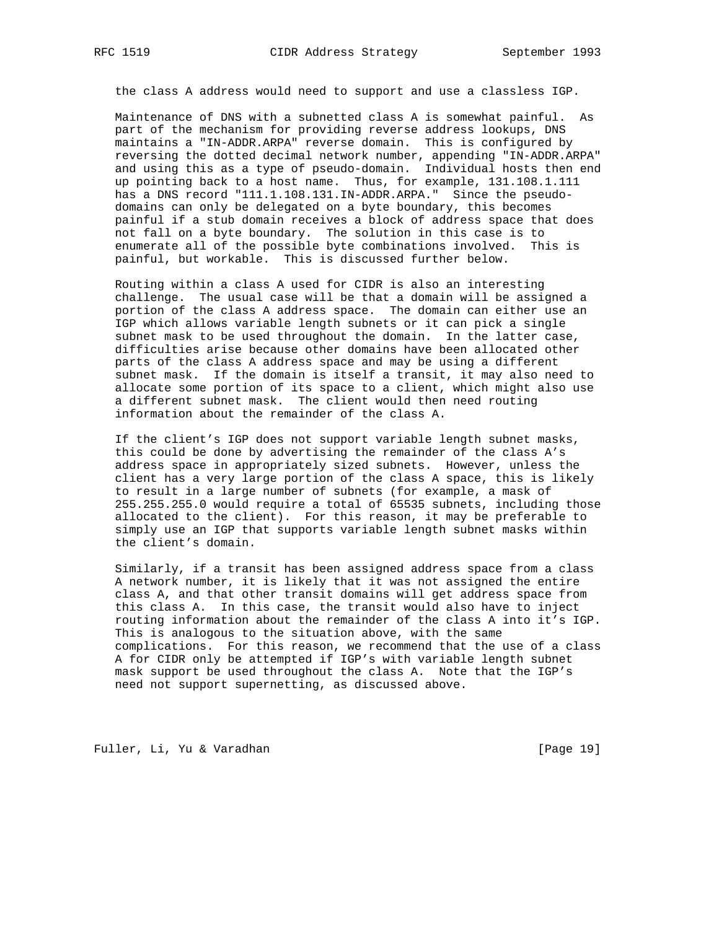the class A address would need to support and use a classless IGP.

 Maintenance of DNS with a subnetted class A is somewhat painful. As part of the mechanism for providing reverse address lookups, DNS maintains a "IN-ADDR.ARPA" reverse domain. This is configured by reversing the dotted decimal network number, appending "IN-ADDR.ARPA" and using this as a type of pseudo-domain. Individual hosts then end up pointing back to a host name. Thus, for example, 131.108.1.111 has a DNS record "111.1.108.131.IN-ADDR.ARPA." Since the pseudo domains can only be delegated on a byte boundary, this becomes painful if a stub domain receives a block of address space that does not fall on a byte boundary. The solution in this case is to enumerate all of the possible byte combinations involved. This is painful, but workable. This is discussed further below.

 Routing within a class A used for CIDR is also an interesting challenge. The usual case will be that a domain will be assigned a portion of the class A address space. The domain can either use an IGP which allows variable length subnets or it can pick a single subnet mask to be used throughout the domain. In the latter case, difficulties arise because other domains have been allocated other parts of the class A address space and may be using a different subnet mask. If the domain is itself a transit, it may also need to allocate some portion of its space to a client, which might also use a different subnet mask. The client would then need routing information about the remainder of the class A.

 If the client's IGP does not support variable length subnet masks, this could be done by advertising the remainder of the class A's address space in appropriately sized subnets. However, unless the client has a very large portion of the class A space, this is likely to result in a large number of subnets (for example, a mask of 255.255.255.0 would require a total of 65535 subnets, including those allocated to the client). For this reason, it may be preferable to simply use an IGP that supports variable length subnet masks within the client's domain.

 Similarly, if a transit has been assigned address space from a class A network number, it is likely that it was not assigned the entire class A, and that other transit domains will get address space from this class A. In this case, the transit would also have to inject routing information about the remainder of the class A into it's IGP. This is analogous to the situation above, with the same complications. For this reason, we recommend that the use of a class A for CIDR only be attempted if IGP's with variable length subnet mask support be used throughout the class A. Note that the IGP's need not support supernetting, as discussed above.

Fuller, Li, Yu & Varadhan [Page 19]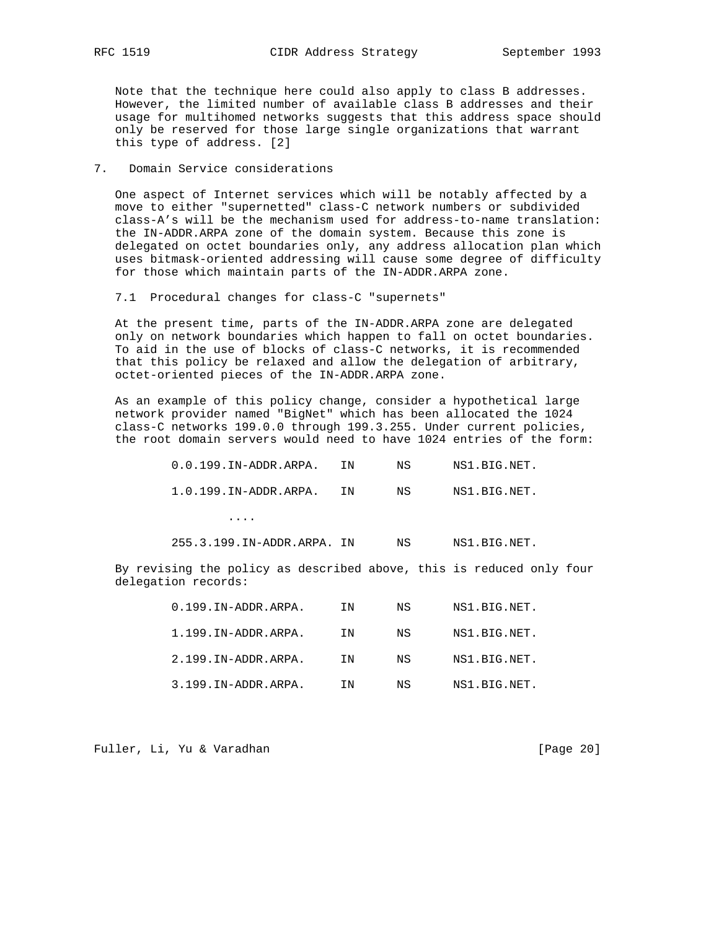Note that the technique here could also apply to class B addresses. However, the limited number of available class B addresses and their usage for multihomed networks suggests that this address space should only be reserved for those large single organizations that warrant this type of address. [2]

### 7. Domain Service considerations

 One aspect of Internet services which will be notably affected by a move to either "supernetted" class-C network numbers or subdivided class-A's will be the mechanism used for address-to-name translation: the IN-ADDR.ARPA zone of the domain system. Because this zone is delegated on octet boundaries only, any address allocation plan which uses bitmask-oriented addressing will cause some degree of difficulty for those which maintain parts of the IN-ADDR.ARPA zone.

7.1 Procedural changes for class-C "supernets"

 At the present time, parts of the IN-ADDR.ARPA zone are delegated only on network boundaries which happen to fall on octet boundaries. To aid in the use of blocks of class-C networks, it is recommended that this policy be relaxed and allow the delegation of arbitrary, octet-oriented pieces of the IN-ADDR.ARPA zone.

 As an example of this policy change, consider a hypothetical large network provider named "BigNet" which has been allocated the 1024 class-C networks 199.0.0 through 199.3.255. Under current policies, the root domain servers would need to have 1024 entries of the form:

| $0.0.199$ .IN-ADDR.ARPA.     | TN | NS | NS1.BIG.NET. |
|------------------------------|----|----|--------------|
| $1.0.199.$ IN-ADDR. ARPA. IN |    | NS | NS1.BIG.NET. |

....

255.3.199.IN-ADDR.ARPA. IN NS NS1.BIG.NET.

 By revising the policy as described above, this is reduced only four delegation records:

| $0.199$ . IN-ADDR. ARPA. | TN | NS  | NS1.BIG.NET. |
|--------------------------|----|-----|--------------|
| 1.199.IN-ADDR.ARPA.      | TN | NS  | NS1.BIG.NET. |
| 2.199.IN-ADDR.ARPA.      | TN | NS  | NS1.BIG.NET. |
| 3.199.IN-ADDR.ARPA.      | TN | NS. | NS1.BIG.NET. |

Fuller, Li, Yu & Varadhan [Page 20]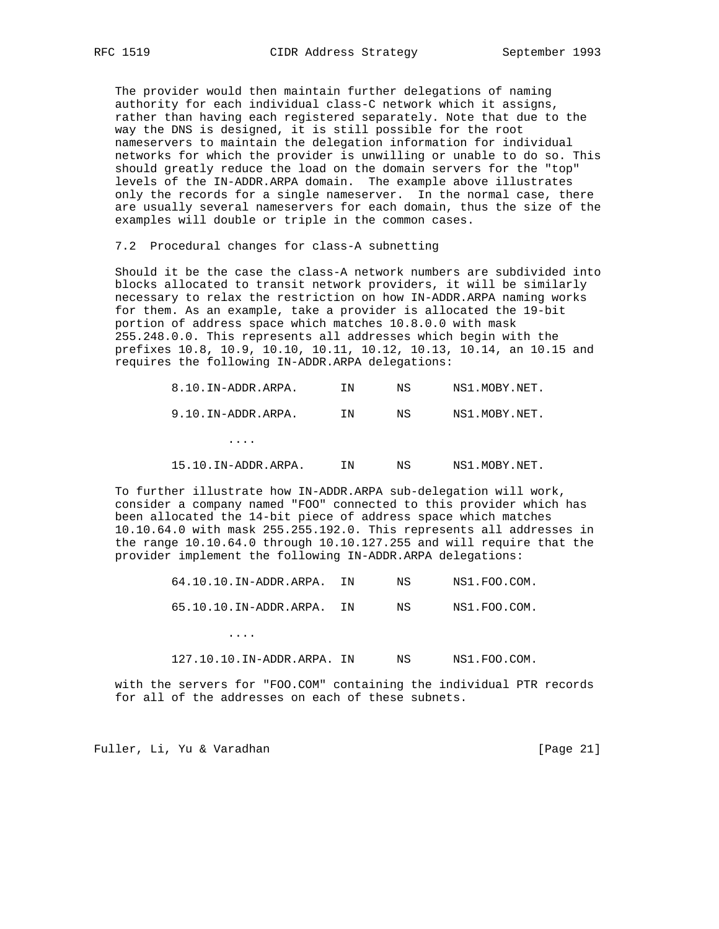The provider would then maintain further delegations of naming authority for each individual class-C network which it assigns, rather than having each registered separately. Note that due to the way the DNS is designed, it is still possible for the root nameservers to maintain the delegation information for individual networks for which the provider is unwilling or unable to do so. This should greatly reduce the load on the domain servers for the "top" levels of the IN-ADDR.ARPA domain. The example above illustrates only the records for a single nameserver. In the normal case, there are usually several nameservers for each domain, thus the size of the examples will double or triple in the common cases.

7.2 Procedural changes for class-A subnetting

 Should it be the case the class-A network numbers are subdivided into blocks allocated to transit network providers, it will be similarly necessary to relax the restriction on how IN-ADDR.ARPA naming works for them. As an example, take a provider is allocated the 19-bit portion of address space which matches 10.8.0.0 with mask 255.248.0.0. This represents all addresses which begin with the prefixes 10.8, 10.9, 10.10, 10.11, 10.12, 10.13, 10.14, an 10.15 and requires the following IN-ADDR.ARPA delegations:

| 8.10.IN-ADDR.ARPA.  | ΙN | ΝS | NS1.MOBY.NET. |
|---------------------|----|----|---------------|
| 9.10.IN-ADDR.ARPA.  | ΙN | ΝS | NS1.MOBY.NET. |
| .                   |    |    |               |
| 15.10.IN-ADDR.ARPA. | ΙN | ΝS | NS1.MOBY.NET. |

 To further illustrate how IN-ADDR.ARPA sub-delegation will work, consider a company named "FOO" connected to this provider which has been allocated the 14-bit piece of address space which matches 10.10.64.0 with mask 255.255.192.0. This represents all addresses in the range 10.10.64.0 through 10.10.127.255 and will require that the provider implement the following IN-ADDR.ARPA delegations:

| $64.10.10$ . IN-ADDR. ARPA. IN | NS   | NS1.FOO.COM. |
|--------------------------------|------|--------------|
| 65.10.10.IN-ADDR.ARPA. IN      | NS N | NS1.FOO.COM. |

127.10.10.IN-ADDR.ARPA. IN NS NS1.FOO.COM.

 with the servers for "FOO.COM" containing the individual PTR records for all of the addresses on each of these subnets.

Fuller, Li, Yu & Varadhan [Page 21]

....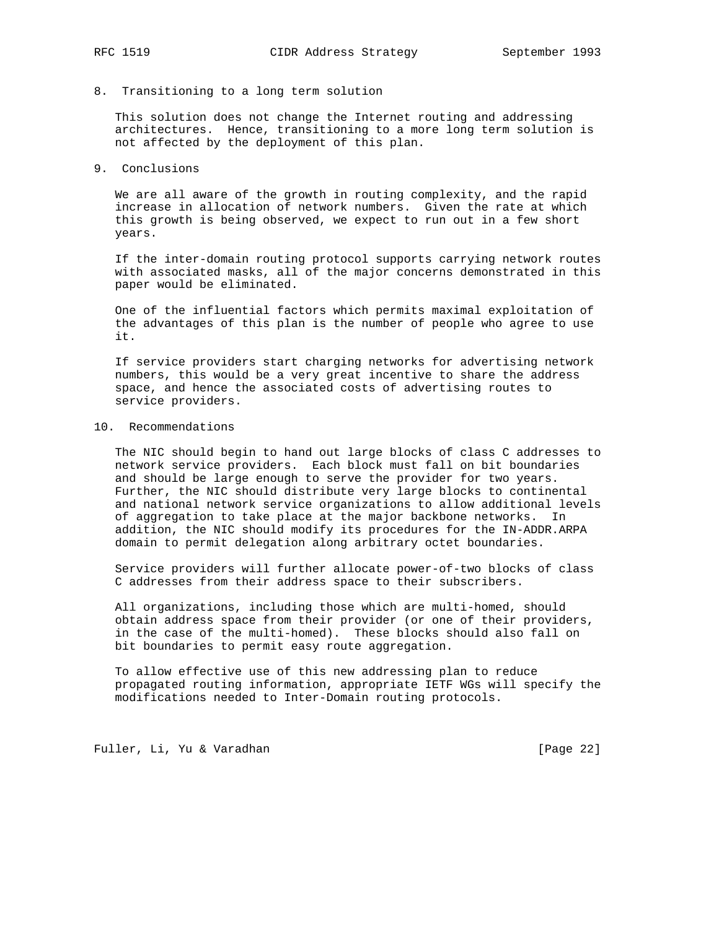# 8. Transitioning to a long term solution

 This solution does not change the Internet routing and addressing architectures. Hence, transitioning to a more long term solution is not affected by the deployment of this plan.

#### 9. Conclusions

 We are all aware of the growth in routing complexity, and the rapid increase in allocation of network numbers. Given the rate at which this growth is being observed, we expect to run out in a few short years.

 If the inter-domain routing protocol supports carrying network routes with associated masks, all of the major concerns demonstrated in this paper would be eliminated.

 One of the influential factors which permits maximal exploitation of the advantages of this plan is the number of people who agree to use it.

 If service providers start charging networks for advertising network numbers, this would be a very great incentive to share the address space, and hence the associated costs of advertising routes to service providers.

# 10. Recommendations

 The NIC should begin to hand out large blocks of class C addresses to network service providers. Each block must fall on bit boundaries and should be large enough to serve the provider for two years. Further, the NIC should distribute very large blocks to continental and national network service organizations to allow additional levels of aggregation to take place at the major backbone networks. In addition, the NIC should modify its procedures for the IN-ADDR.ARPA domain to permit delegation along arbitrary octet boundaries.

 Service providers will further allocate power-of-two blocks of class C addresses from their address space to their subscribers.

 All organizations, including those which are multi-homed, should obtain address space from their provider (or one of their providers, in the case of the multi-homed). These blocks should also fall on bit boundaries to permit easy route aggregation.

 To allow effective use of this new addressing plan to reduce propagated routing information, appropriate IETF WGs will specify the modifications needed to Inter-Domain routing protocols.

Fuller, Li, Yu & Varadhan [Page 22]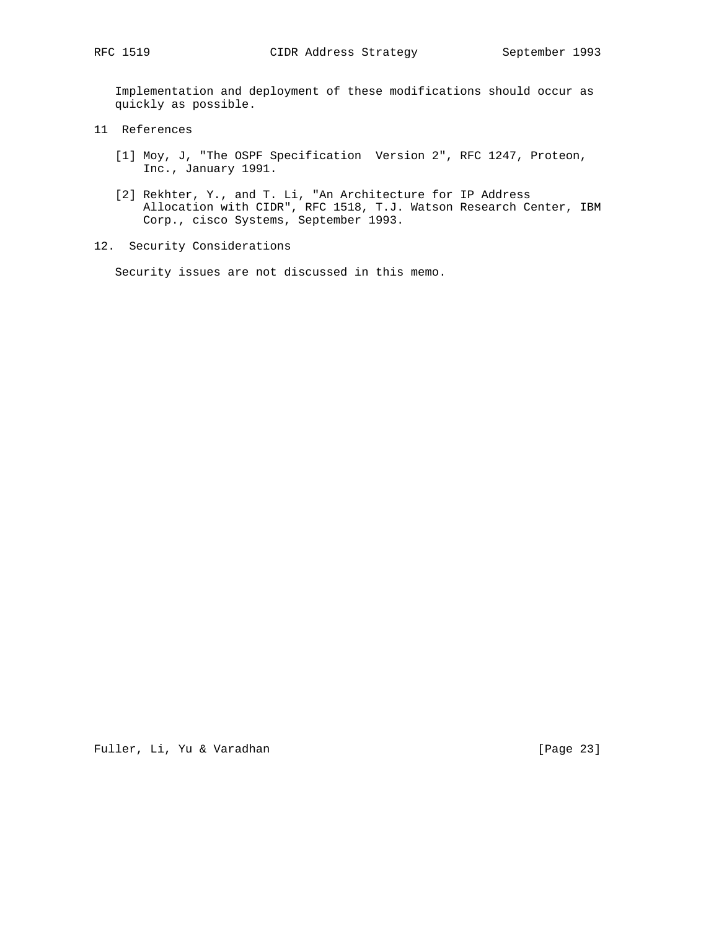Implementation and deployment of these modifications should occur as quickly as possible.

- 11 References
	- [1] Moy, J, "The OSPF Specification Version 2", RFC 1247, Proteon, Inc., January 1991.
	- [2] Rekhter, Y., and T. Li, "An Architecture for IP Address Allocation with CIDR", RFC 1518, T.J. Watson Research Center, IBM Corp., cisco Systems, September 1993.
- 12. Security Considerations

Security issues are not discussed in this memo.

Fuller, Li, Yu & Varadhan [Page 23]